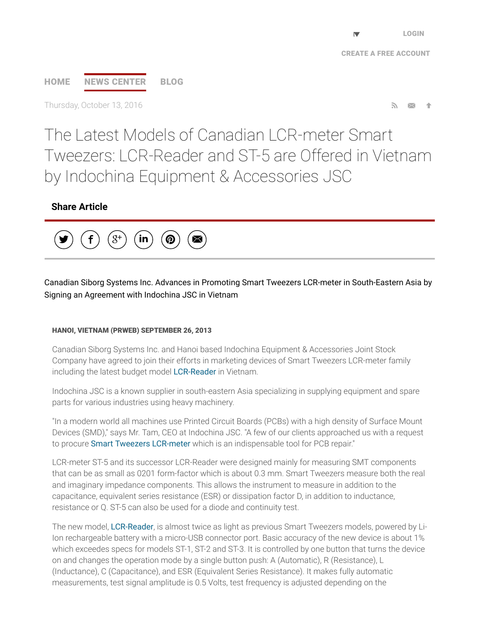# [HOME](http://www.prweb.com/) NEWS [CENTER](http://www.prweb.com/recentnews/) [BLOG](http://www.cision.com/us/blog/)

Thursday, October 13, 2016

The Latest Models of Canadian LCR-meter Smart Tweezers: LCR-Reader and ST-5 are Offered in Vietnam by Indochina Equipment & Accessories JSC

## Share Article



Canadian Siborg Systems Inc. Advances in Promoting Smart Tweezers LCR-meter in South-Eastern Asia by Signing an Agreement with Indochina JSC in Vietnam

#### HANOI, VIETNAM (PRWEB) SEPTEMBER 26, 2013

Canadian Siborg Systems Inc. and Hanoi based Indochina Equipment & Accessories Joint Stock Company have agreed to join their efforts in marketing devices of Smart Tweezers LCR-meter family including the latest budget model [LCR-Reader](http://www.prweb.net/Redirect.aspx?id=aHR0cDovL3d3dy5sY3ItcmVhZGVyLmNvbQ==) in Vietnam.

Indochina JSC is a known supplier in south-eastern Asia specializing in supplying equipment and spare parts for various industries using heavy machinery.

"In a modern world all machines use Printed Circuit Boards (PCBs) with a high density of Surface Mount Devices (SMD)," says Mr. Tam, CEO at Indochina JSC. "A few of our clients approached us with a request to procure Smart Tweezers [LCR-meter](http://www.prweb.net/Redirect.aspx?id=aHR0cDovL3d3dy5zaWJvcmcuY29tL3NtYXJ0dHdlZXplcnM=) which is an indispensable tool for PCB repair."

LCR-meter ST-5 and its successor LCR-Reader were designed mainly for measuring SMT components that can be as small as 0201 form-factor which is about 0.3 mm. Smart Tweezers measure both the real and imaginary impedance components. This allows the instrument to measure in addition to the capacitance, equivalent series resistance (ESR) or dissipation factor D, in addition to inductance, resistance or Q. ST-5 can also be used for a diode and continuity test.

The new model, [LCR-Reader](http://www.prweb.net/Redirect.aspx?id=aHR0cDovL3d3dy5sY3ItcmVhZGVyLmNvbQ==), is almost twice as light as previous Smart Tweezers models, powered by Li-Ion rechargeable battery with a micro-USB connector port. Basic accuracy of the new device is about 1% which exceedes specs for models ST-1, ST-2 and ST-3. It is controlled by one button that turns the device on and changes the operation mode by a single button push: A (Automatic), R (Resistance), L (Inductance), C (Capacitance), and ESR (Equivalent Series Resistance). It makes fully automatic measurements, test signal amplitude is 0.5 Volts, test frequency is adjusted depending on the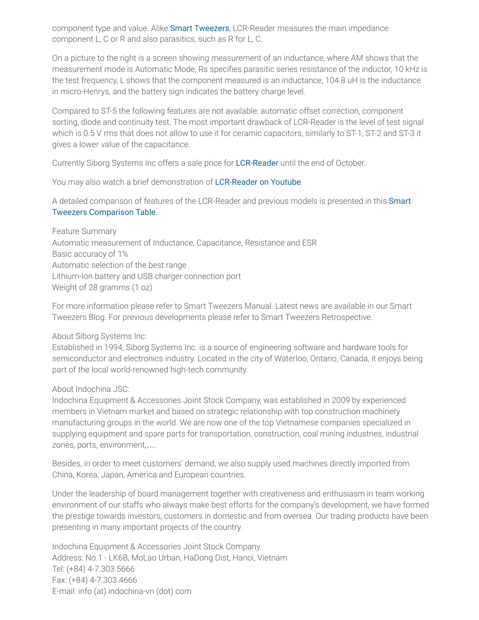component type and value. Alike Smart [Tweezers](http://www.prweb.net/Redirect.aspx?id=aHR0cDovL3d3dy5zaWJvcmcuY29tL3NtYXJ0dHdlZXplcnM=), LCR-Reader measures the main impedance component L, C or R and also parasitics, such as R for L, C.

On a picture to the right is a screen showing measurement of an inductance, where AM shows that the measurement mode is Automatic Mode, Rs specifies parasitic series resistance of the inductor, 10 kHz is the test frequency, L shows that the component measured is an inductance, 104.8 uH is the inductance in micro-Henrys, and the battery sign indicates the battery charge level.

Compared to ST-5 the following features are not available: automatic offset correction, component sorting, diode and continuity test. The most important drawback of LCR-Reader is the level of test signal which is 0.5 V rms that does not allow to use it for ceramic capacitors, similarly to ST-1, ST-2 and ST-3 it gives a lower value of the capacitance.

Currently Siborg Systems Inc offers a sale price for [LCR-Reader](http://www.prweb.net/Redirect.aspx?id=aHR0cDovL3d3dy5sY3ItcmVhZGVyLmNvbQ==) until the end of October.

You may also watch a brief demonstration of [LCR-Reader](http://www.prweb.net/Redirect.aspx?id=aHR0cDovL3d3dy55b3V0dWJlLmNvbS93YXRjaD92PUtvRVFacTJaa3RB) on Youtube.

A detailed comparison of features of the LCR-Reader and previous models is presented in this Smart Tweezers [Comparison](http://www.prweb.net/Redirect.aspx?id=aHR0cDovL3d3dy5sY3ItcmVhZGVyLmNvbS9MQ1ItUmVhZGVyLVNULWNvbXBhcmlzb24ucGRm) Table.

Feature Summary Automatic measurement of Inductance, Capacitance, Resistance and ESR Basic accuracy of 1% Automatic selection of the best range Lithium-Ion battery and USB charger connection port Weight of 28 gramms (1 oz)

For more information please refer to Smart Tweezers Manual. Latest news are available in our Smart Tweezers Blog. For previous developments please refer to Smart Tweezers Retrospective.

About Siborg Systems Inc:

Established in 1994, Siborg Systems Inc. is a source of engineering software and hardware tools for semiconductor and electronics industry. Located in the city of Waterloo, Ontario, Canada, it enjoys being part of the local world-renowned high-tech community.

#### About Indochina JSC:

Indochina Equipment & Accessories Joint Stock Company, was established in 2009 by experienced members in Vietnam market and based on strategic relationship with top construction machinery manufacturing groups in the world. We are now one of the top Vietnamese companies specialized in supplying equipment and spare parts for transportation, construction, coal mining industries, industrial zones, ports, environment,….

Besides, in order to meet customers' demand, we also supply used machines directly imported from China, Korea, Japan, America and European countries.

Under the leadership of board management together with creativeness and enthusiasm in team working environment of our staffs who always make best efforts for the company's development, we have formed the prestige towards investors, customers in domestic and from oversea. Our trading products have been presenting in many important projects of the country.

Indochina Equipment & Accessories Joint Stock Company Address: No.1 - LK6B, MoLao Urban, HaDong Dist, Hanoi, Vietnam Tel: (+84) 4-7.303.5666 Fax: (+84) 4-7.303.4666 E-mail: info (at) indochina-vn (dot) com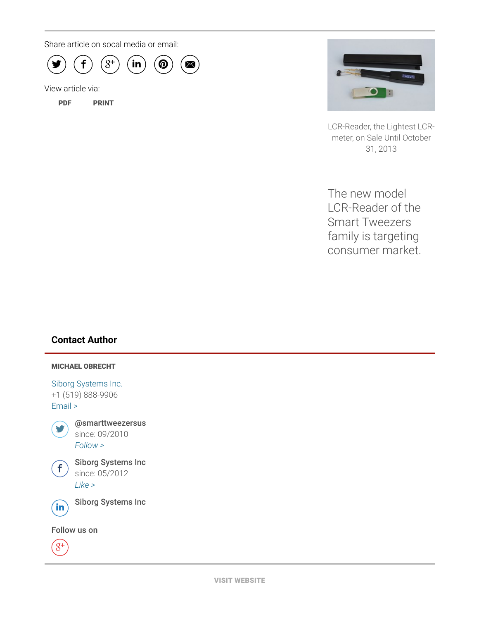Share article on socal media or email:



View article via:

[PDF](http://www.prweb.com/pdfdownload/11154624.pdf) [PRINT](http://www.prweb.com/printer/11154624.htm)



LCR-Reader, the Lightest LCRmeter, on Sale Until October 31, 2013

The new model LCR-Reader of the Smart Tweezers family is targeting consumer market.

### Contact Author